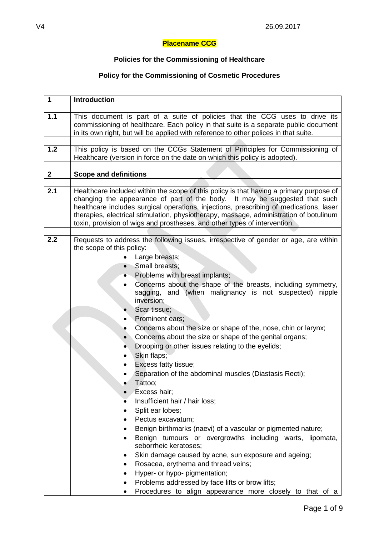## **Placename CCG**

## **Policies for the Commissioning of Healthcare**

## **Policy for the Commissioning of Cosmetic Procedures**

| $\mathbf 1$    | <b>Introduction</b>                                                                                                                                                                                                                                                                                                                                                                                                                    |
|----------------|----------------------------------------------------------------------------------------------------------------------------------------------------------------------------------------------------------------------------------------------------------------------------------------------------------------------------------------------------------------------------------------------------------------------------------------|
|                |                                                                                                                                                                                                                                                                                                                                                                                                                                        |
| $1.1$          | This document is part of a suite of policies that the CCG uses to drive its<br>commissioning of healthcare. Each policy in that suite is a separate public document<br>in its own right, but will be applied with reference to other polices in that suite.                                                                                                                                                                            |
|                |                                                                                                                                                                                                                                                                                                                                                                                                                                        |
| 1.2            | This policy is based on the CCGs Statement of Principles for Commissioning of<br>Healthcare (version in force on the date on which this policy is adopted).                                                                                                                                                                                                                                                                            |
|                |                                                                                                                                                                                                                                                                                                                                                                                                                                        |
| $\overline{2}$ | <b>Scope and definitions</b>                                                                                                                                                                                                                                                                                                                                                                                                           |
| 2.1            |                                                                                                                                                                                                                                                                                                                                                                                                                                        |
|                | Healthcare included within the scope of this policy is that having a primary purpose of<br>changing the appearance of part of the body. It may be suggested that such<br>healthcare includes surgical operations, injections, prescribing of medications, laser<br>therapies, electrical stimulation, physiotherapy, massage, administration of botulinum<br>toxin, provision of wigs and prostheses, and other types of intervention. |
| 2.2            | Requests to address the following issues, irrespective of gender or age, are within                                                                                                                                                                                                                                                                                                                                                    |
|                | the scope of this policy:                                                                                                                                                                                                                                                                                                                                                                                                              |
|                | Large breasts;                                                                                                                                                                                                                                                                                                                                                                                                                         |
|                | Small breasts;                                                                                                                                                                                                                                                                                                                                                                                                                         |
|                | Problems with breast implants;                                                                                                                                                                                                                                                                                                                                                                                                         |
|                | Concerns about the shape of the breasts, including symmetry,                                                                                                                                                                                                                                                                                                                                                                           |
|                | and (when malignancy is not suspected) nipple<br>sagging,<br>inversion;                                                                                                                                                                                                                                                                                                                                                                |
|                | Scar tissue;                                                                                                                                                                                                                                                                                                                                                                                                                           |
|                | Prominent ears;                                                                                                                                                                                                                                                                                                                                                                                                                        |
|                | Concerns about the size or shape of the, nose, chin or larynx;                                                                                                                                                                                                                                                                                                                                                                         |
|                | Concerns about the size or shape of the genital organs;<br>$\bullet$                                                                                                                                                                                                                                                                                                                                                                   |
|                | Drooping or other issues relating to the eyelids;                                                                                                                                                                                                                                                                                                                                                                                      |
|                | Skin flaps;<br>$\bullet$                                                                                                                                                                                                                                                                                                                                                                                                               |
|                | Excess fatty tissue;                                                                                                                                                                                                                                                                                                                                                                                                                   |
|                | Separation of the abdominal muscles (Diastasis Recti);                                                                                                                                                                                                                                                                                                                                                                                 |
|                | Tattoo;                                                                                                                                                                                                                                                                                                                                                                                                                                |
|                | Excess hair;                                                                                                                                                                                                                                                                                                                                                                                                                           |
|                | Insufficient hair / hair loss;                                                                                                                                                                                                                                                                                                                                                                                                         |
|                | Split ear lobes;                                                                                                                                                                                                                                                                                                                                                                                                                       |
|                | Pectus excavatum;<br>$\bullet$                                                                                                                                                                                                                                                                                                                                                                                                         |
|                | Benign birthmarks (naevi) of a vascular or pigmented nature;                                                                                                                                                                                                                                                                                                                                                                           |
|                |                                                                                                                                                                                                                                                                                                                                                                                                                                        |
|                | Benign tumours or overgrowths including warts, lipomata,<br>seborrheic keratoses;                                                                                                                                                                                                                                                                                                                                                      |
|                | Skin damage caused by acne, sun exposure and ageing;<br>٠                                                                                                                                                                                                                                                                                                                                                                              |
|                | Rosacea, erythema and thread veins;<br>٠                                                                                                                                                                                                                                                                                                                                                                                               |
|                | Hyper- or hypo- pigmentation;<br>٠                                                                                                                                                                                                                                                                                                                                                                                                     |
|                | Problems addressed by face lifts or brow lifts;                                                                                                                                                                                                                                                                                                                                                                                        |
|                | Procedures to align appearance more closely to that of a                                                                                                                                                                                                                                                                                                                                                                               |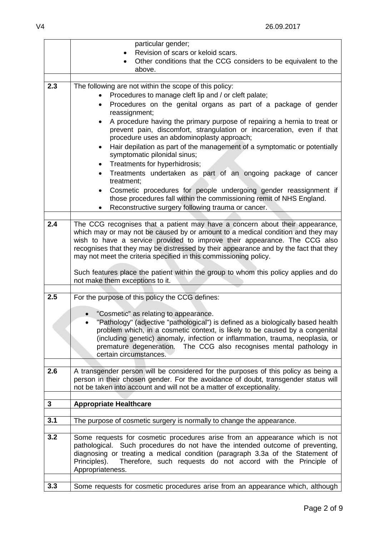$\overline{\mathbf{1}}$ 

|     | particular gender;<br>Revision of scars or keloid scars.                                                                                                         |
|-----|------------------------------------------------------------------------------------------------------------------------------------------------------------------|
|     | Other conditions that the CCG considers to be equivalent to the<br>above.                                                                                        |
|     |                                                                                                                                                                  |
| 2.3 | The following are not within the scope of this policy:                                                                                                           |
|     | Procedures to manage cleft lip and / or cleft palate;<br>Procedures on the genital organs as part of a package of gender<br>$\bullet$                            |
|     | reassignment;                                                                                                                                                    |
|     | A procedure having the primary purpose of repairing a hernia to treat or                                                                                         |
|     | prevent pain, discomfort, strangulation or incarceration, even if that                                                                                           |
|     | procedure uses an abdominoplasty approach;                                                                                                                       |
|     | Hair depilation as part of the management of a symptomatic or potentially<br>$\bullet$<br>symptomatic pilonidal sinus;                                           |
|     | Treatments for hyperhidrosis;                                                                                                                                    |
|     | Treatments undertaken as part of an ongoing package of cancer                                                                                                    |
|     | treatment;                                                                                                                                                       |
|     | Cosmetic procedures for people undergoing gender reassignment if                                                                                                 |
|     | those procedures fall within the commissioning remit of NHS England.                                                                                             |
|     | Reconstructive surgery following trauma or cancer.                                                                                                               |
| 2.4 | The CCG recognises that a patient may have a concern about their appearance,                                                                                     |
|     | which may or may not be caused by or amount to a medical condition and they may                                                                                  |
|     | wish to have a service provided to improve their appearance. The CCG also                                                                                        |
|     | recognises that they may be distressed by their appearance and by the fact that they<br>may not meet the criteria specified in this commissioning policy.        |
|     |                                                                                                                                                                  |
|     | Such features place the patient within the group to whom this policy applies and do                                                                              |
|     | not make them exceptions to it.                                                                                                                                  |
| 2.5 | For the purpose of this policy the CCG defines:                                                                                                                  |
|     |                                                                                                                                                                  |
|     | "Cosmetic" as relating to appearance.                                                                                                                            |
|     | "Pathology" (adjective "pathological") is defined as a biologically based health<br>problem which, in a cosmetic context, is likely to be caused by a congenital |
|     | (including genetic) anomaly, infection or inflammation, trauma, neoplasia, or                                                                                    |
|     | premature degeneration. The CCG also recognises mental pathology in                                                                                              |
|     | certain circumstances.                                                                                                                                           |
| 2.6 | A transgender person will be considered for the purposes of this policy as being a                                                                               |
|     | person in their chosen gender. For the avoidance of doubt, transgender status will                                                                               |
|     | not be taken into account and will not be a matter of exceptionality.                                                                                            |
| 3   | <b>Appropriate Healthcare</b>                                                                                                                                    |
|     |                                                                                                                                                                  |
| 3.1 | The purpose of cosmetic surgery is normally to change the appearance.                                                                                            |
| 3.2 | Some requests for cosmetic procedures arise from an appearance which is not                                                                                      |
|     | Such procedures do not have the intended outcome of preventing,<br>pathological.                                                                                 |
|     | diagnosing or treating a medical condition (paragraph 3.3a of the Statement of                                                                                   |
|     | Therefore, such requests do not accord with the Principle of<br>Principles).                                                                                     |
|     | Appropriateness.                                                                                                                                                 |
| 3.3 | Some requests for cosmetic procedures arise from an appearance which, although                                                                                   |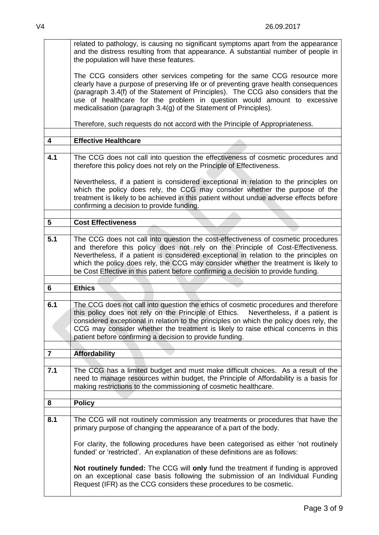related to pathology, is causing no significant symptoms apart from the appearance and the distress resulting from that appearance. A substantial number of people in the population will have these features. The CCG considers other services competing for the same CCG resource more clearly have a purpose of preserving life or of preventing grave health consequences (paragraph 3.4(f) of the Statement of Principles). The CCG also considers that the use of healthcare for the problem in question would amount to excessive medicalisation (paragraph 3.4(g) of the Statement of Principles). Therefore, such requests do not accord with the Principle of Appropriateness. **4 Effective Healthcare 4.1** The CCG does not call into question the effectiveness of cosmetic procedures and therefore this policy does not rely on the Principle of Effectiveness. Nevertheless, if a patient is considered exceptional in relation to the principles on which the policy does rely, the CCG may consider whether the purpose of the treatment is likely to be achieved in this patient without undue adverse effects before confirming a decision to provide funding. **5 Cost Effectiveness 5.1** The CCG does not call into question the cost-effectiveness of cosmetic procedures and therefore this policy does not rely on the Principle of Cost-Effectiveness. Nevertheless, if a patient is considered exceptional in relation to the principles on which the policy does rely, the CCG may consider whether the treatment is likely to be Cost Effective in this patient before confirming a decision to provide funding. **6 Ethics 6.1** The CCG does not call into question the ethics of cosmetic procedures and therefore this policy does not rely on the Principle of Ethics. Nevertheless, if a patient is considered exceptional in relation to the principles on which the policy does rely, the CCG may consider whether the treatment is likely to raise ethical concerns in this patient before confirming a decision to provide funding. **7 Affordability 7.1** The CCG has a limited budget and must make difficult choices. As a result of the need to manage resources within budget, the Principle of Affordability is a basis for making restrictions to the commissioning of cosmetic healthcare. **8 Policy 8.1** The CCG will not routinely commission any treatments or procedures that have the primary purpose of changing the appearance of a part of the body. For clarity, the following procedures have been categorised as either 'not routinely funded' or 'restricted'. An explanation of these definitions are as follows: **Not routinely funded:** The CCG will **only** fund the treatment if funding is approved on an exceptional case basis following the submission of an Individual Funding Request (IFR) as the CCG considers these procedures to be cosmetic.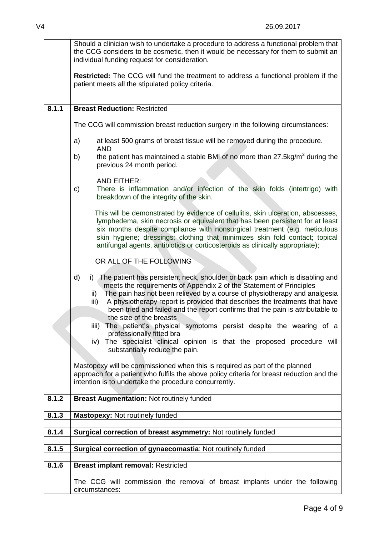|       | Should a clinician wish to undertake a procedure to address a functional problem that<br>the CCG considers to be cosmetic, then it would be necessary for them to submit an<br>individual funding request for consideration.                                                                                                                                                                                                                         |  |
|-------|------------------------------------------------------------------------------------------------------------------------------------------------------------------------------------------------------------------------------------------------------------------------------------------------------------------------------------------------------------------------------------------------------------------------------------------------------|--|
|       | Restricted: The CCG will fund the treatment to address a functional problem if the<br>patient meets all the stipulated policy criteria.                                                                                                                                                                                                                                                                                                              |  |
| 8.1.1 | <b>Breast Reduction: Restricted</b>                                                                                                                                                                                                                                                                                                                                                                                                                  |  |
|       | The CCG will commission breast reduction surgery in the following circumstances:                                                                                                                                                                                                                                                                                                                                                                     |  |
|       | at least 500 grams of breast tissue will be removed during the procedure.<br>a)<br><b>AND</b>                                                                                                                                                                                                                                                                                                                                                        |  |
|       | the patient has maintained a stable BMI of no more than $27.5$ kg/m <sup>2</sup> during the<br>b)<br>previous 24 month period.                                                                                                                                                                                                                                                                                                                       |  |
|       | <b>AND EITHER:</b><br>There is inflammation and/or infection of the skin folds (intertrigo) with<br>$\mathsf{c}$<br>breakdown of the integrity of the skin.                                                                                                                                                                                                                                                                                          |  |
|       | This will be demonstrated by evidence of cellulitis, skin ulceration, abscesses,<br>lymphedema, skin necrosis or equivalent that has been persistent for at least<br>six months despite compliance with nonsurgical treatment (e.g. meticulous<br>skin hygiene; dressings; clothing that minimizes skin fold contact; topical<br>antifungal agents, antibiotics or corticosteroids as clinically appropriate);                                       |  |
|       | OR ALL OF THE FOLLOWING                                                                                                                                                                                                                                                                                                                                                                                                                              |  |
|       | d)<br>i) The patient has persistent neck, shoulder or back pain which is disabling and<br>meets the requirements of Appendix 2 of the Statement of Principles<br>The pain has not been relieved by a course of physiotherapy and analgesia<br>ii)<br>A physiotherapy report is provided that describes the treatments that have<br>iii)<br>been tried and failed and the report confirms that the pain is attributable to<br>the size of the breasts |  |
|       | The patient's physical symptoms persist despite the wearing of a<br>$\overline{\mathsf{iii}}$ )<br>professionally fitted bra                                                                                                                                                                                                                                                                                                                         |  |
|       | iv) The specialist clinical opinion is that the proposed procedure will<br>substantially reduce the pain.                                                                                                                                                                                                                                                                                                                                            |  |
|       | Mastopexy will be commissioned when this is required as part of the planned<br>approach for a patient who fulfils the above policy criteria for breast reduction and the<br>intention is to undertake the procedure concurrently.                                                                                                                                                                                                                    |  |
| 8.1.2 | <b>Breast Augmentation: Not routinely funded</b>                                                                                                                                                                                                                                                                                                                                                                                                     |  |
| 8.1.3 | <b>Mastopexy: Not routinely funded</b>                                                                                                                                                                                                                                                                                                                                                                                                               |  |
| 8.1.4 | Surgical correction of breast asymmetry: Not routinely funded                                                                                                                                                                                                                                                                                                                                                                                        |  |
| 8.1.5 | Surgical correction of gynaecomastia: Not routinely funded                                                                                                                                                                                                                                                                                                                                                                                           |  |
| 8.1.6 | <b>Breast implant removal: Restricted</b>                                                                                                                                                                                                                                                                                                                                                                                                            |  |
|       | The CCG will commission the removal of breast implants under the following<br>circumstances:                                                                                                                                                                                                                                                                                                                                                         |  |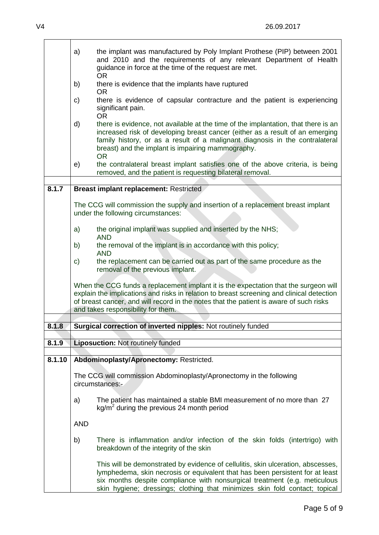|        | a)         | the implant was manufactured by Poly Implant Prothese (PIP) between 2001<br>and 2010 and the requirements of any relevant Department of Health                                                                                                                                                                                |
|--------|------------|-------------------------------------------------------------------------------------------------------------------------------------------------------------------------------------------------------------------------------------------------------------------------------------------------------------------------------|
|        |            | guidance in force at the time of the request are met.<br><b>OR</b>                                                                                                                                                                                                                                                            |
|        | b)         | there is evidence that the implants have ruptured<br><b>OR</b>                                                                                                                                                                                                                                                                |
|        | C)         | there is evidence of capsular contracture and the patient is experiencing<br>significant pain.                                                                                                                                                                                                                                |
|        | d)         | <b>OR</b><br>there is evidence, not available at the time of the implantation, that there is an                                                                                                                                                                                                                               |
|        |            | increased risk of developing breast cancer (either as a result of an emerging<br>family history, or as a result of a malignant diagnosis in the contralateral<br>breast) and the implant is impairing mammography.<br><b>OR</b>                                                                                               |
|        | e)         | the contralateral breast implant satisfies one of the above criteria, is being<br>removed, and the patient is requesting bilateral removal.                                                                                                                                                                                   |
| 8.1.7  |            |                                                                                                                                                                                                                                                                                                                               |
|        |            | <b>Breast implant replacement: Restricted</b>                                                                                                                                                                                                                                                                                 |
|        |            | The CCG will commission the supply and insertion of a replacement breast implant<br>under the following circumstances:                                                                                                                                                                                                        |
|        | a)         | the original implant was supplied and inserted by the NHS;<br><b>AND</b>                                                                                                                                                                                                                                                      |
|        | b)         | the removal of the implant is in accordance with this policy;<br><b>AND</b>                                                                                                                                                                                                                                                   |
|        | C)         | the replacement can be carried out as part of the same procedure as the                                                                                                                                                                                                                                                       |
|        |            | removal of the previous implant.                                                                                                                                                                                                                                                                                              |
|        |            | When the CCG funds a replacement implant it is the expectation that the surgeon will<br>explain the implications and risks in relation to breast screening and clinical detection<br>of breast cancer, and will record in the notes that the patient is aware of such risks<br>and takes responsibility for them.             |
|        |            |                                                                                                                                                                                                                                                                                                                               |
| 8.1.8  |            | Surgical correction of inverted nipples: Not routinely funded                                                                                                                                                                                                                                                                 |
|        |            |                                                                                                                                                                                                                                                                                                                               |
| 8.1.9  |            | <b>Liposuction: Not routinely funded</b>                                                                                                                                                                                                                                                                                      |
| 8.1.10 |            | Abdominoplasty/Apronectomy: Restricted.                                                                                                                                                                                                                                                                                       |
|        |            |                                                                                                                                                                                                                                                                                                                               |
|        |            | The CCG will commission Abdominoplasty/Apronectomy in the following<br>circumstances:-                                                                                                                                                                                                                                        |
|        | a)         | The patient has maintained a stable BMI measurement of no more than 27<br>$kg/m2$ during the previous 24 month period                                                                                                                                                                                                         |
|        | <b>AND</b> |                                                                                                                                                                                                                                                                                                                               |
|        | b)         | There is inflammation and/or infection of the skin folds (intertrigo) with<br>breakdown of the integrity of the skin                                                                                                                                                                                                          |
|        |            | This will be demonstrated by evidence of cellulitis, skin ulceration, abscesses,<br>lymphedema, skin necrosis or equivalent that has been persistent for at least<br>six months despite compliance with nonsurgical treatment (e.g. meticulous<br>skin hygiene; dressings; clothing that minimizes skin fold contact; topical |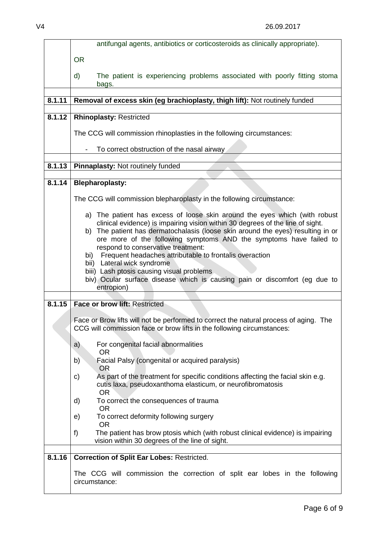|        | antifungal agents, antibiotics or corticosteroids as clinically appropriate).                                                                                                                                                                                                                                                                                                                                                 |
|--------|-------------------------------------------------------------------------------------------------------------------------------------------------------------------------------------------------------------------------------------------------------------------------------------------------------------------------------------------------------------------------------------------------------------------------------|
|        | <b>OR</b>                                                                                                                                                                                                                                                                                                                                                                                                                     |
|        | d)<br>The patient is experiencing problems associated with poorly fitting stoma<br>bags.                                                                                                                                                                                                                                                                                                                                      |
| 8.1.11 | Removal of excess skin (eg brachioplasty, thigh lift): Not routinely funded                                                                                                                                                                                                                                                                                                                                                   |
|        |                                                                                                                                                                                                                                                                                                                                                                                                                               |
| 8.1.12 | <b>Rhinoplasty: Restricted</b>                                                                                                                                                                                                                                                                                                                                                                                                |
|        | The CCG will commission rhinoplasties in the following circumstances:                                                                                                                                                                                                                                                                                                                                                         |
|        | To correct obstruction of the nasal airway                                                                                                                                                                                                                                                                                                                                                                                    |
| 8.1.13 | Pinnaplasty: Not routinely funded                                                                                                                                                                                                                                                                                                                                                                                             |
|        |                                                                                                                                                                                                                                                                                                                                                                                                                               |
| 8.1.14 | <b>Blepharoplasty:</b>                                                                                                                                                                                                                                                                                                                                                                                                        |
|        | The CCG will commission blepharoplasty in the following circumstance:                                                                                                                                                                                                                                                                                                                                                         |
|        | a) The patient has excess of loose skin around the eyes which (with robust<br>clinical evidence) is impairing vision within 30 degrees of the line of sight.<br>b) The patient has dermatochalasis (loose skin around the eyes) resulting in or<br>ore more of the following symptoms AND the symptoms have failed to<br>respond to conservative treatment:<br>Frequent headaches attributable to frontalis overaction<br>bi) |
|        | bii) Lateral wick syndrome                                                                                                                                                                                                                                                                                                                                                                                                    |
|        | biii) Lash ptosis causing visual problems<br>biv) Ocular surface disease which is causing pain or discomfort (eg due to                                                                                                                                                                                                                                                                                                       |
|        | entropion)                                                                                                                                                                                                                                                                                                                                                                                                                    |
| 8.1.15 | Face or brow lift: Restricted                                                                                                                                                                                                                                                                                                                                                                                                 |
|        |                                                                                                                                                                                                                                                                                                                                                                                                                               |
|        | Face or Brow lifts will not be performed to correct the natural process of aging. The<br>CCG will commission face or brow lifts in the following circumstances:                                                                                                                                                                                                                                                               |
|        | For congenital facial abnormalities<br>a)<br><b>OR</b>                                                                                                                                                                                                                                                                                                                                                                        |
|        | Facial Palsy (congenital or acquired paralysis)<br>b)<br><b>OR</b>                                                                                                                                                                                                                                                                                                                                                            |
|        | As part of the treatment for specific conditions affecting the facial skin e.g.<br>C)<br>cutis laxa, pseudoxanthoma elasticum, or neurofibromatosis<br><b>OR</b>                                                                                                                                                                                                                                                              |
|        | To correct the consequences of trauma<br>d)<br><b>OR</b>                                                                                                                                                                                                                                                                                                                                                                      |
|        | To correct deformity following surgery<br>e)<br>OR.                                                                                                                                                                                                                                                                                                                                                                           |
|        | The patient has brow ptosis which (with robust clinical evidence) is impairing<br>f)<br>vision within 30 degrees of the line of sight.                                                                                                                                                                                                                                                                                        |
| 8.1.16 | <b>Correction of Split Ear Lobes: Restricted.</b>                                                                                                                                                                                                                                                                                                                                                                             |
|        | The CCG will commission the correction of split ear lobes in the following<br>circumstance:                                                                                                                                                                                                                                                                                                                                   |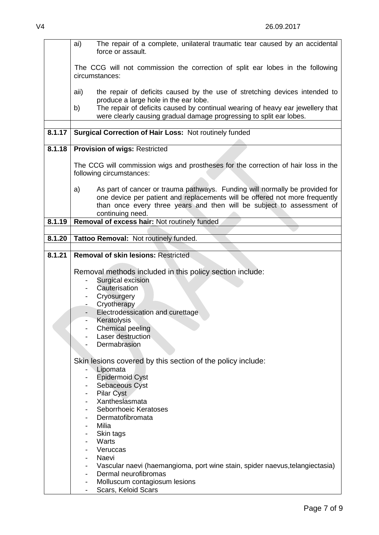|                     | The repair of a complete, unilateral traumatic tear caused by an accidental<br>ai)<br>force or assault.                                                                                                                                   |  |  |
|---------------------|-------------------------------------------------------------------------------------------------------------------------------------------------------------------------------------------------------------------------------------------|--|--|
|                     | The CCG will not commission the correction of split ear lobes in the following<br>circumstances:                                                                                                                                          |  |  |
|                     | the repair of deficits caused by the use of stretching devices intended to<br>aii)<br>produce a large hole in the ear lobe.                                                                                                               |  |  |
|                     | The repair of deficits caused by continual wearing of heavy ear jewellery that<br>b)<br>were clearly causing gradual damage progressing to split ear lobes.                                                                               |  |  |
| $\overline{8.1.17}$ | <b>Surgical Correction of Hair Loss: Not routinely funded</b>                                                                                                                                                                             |  |  |
| 8.1.18              | Provision of wigs: Restricted                                                                                                                                                                                                             |  |  |
|                     | The CCG will commission wigs and prostheses for the correction of hair loss in the<br>following circumstances:                                                                                                                            |  |  |
|                     | As part of cancer or trauma pathways. Funding will normally be provided for<br>a)<br>one device per patient and replacements will be offered not more frequently<br>than once every three years and then will be subject to assessment of |  |  |
|                     | continuing need.                                                                                                                                                                                                                          |  |  |
| 8.1.19              | Removal of excess hair: Not routinely funded                                                                                                                                                                                              |  |  |
| 8.1.20              | Tattoo Removal: Not routinely funded.                                                                                                                                                                                                     |  |  |
|                     |                                                                                                                                                                                                                                           |  |  |
| 8.1.21              | <b>Removal of skin lesions: Restricted</b>                                                                                                                                                                                                |  |  |
|                     | Removal methods included in this policy section include:                                                                                                                                                                                  |  |  |
|                     | Surgical excision                                                                                                                                                                                                                         |  |  |
|                     | Cauterisation                                                                                                                                                                                                                             |  |  |
|                     |                                                                                                                                                                                                                                           |  |  |
|                     | Cryosurgery<br>$\sim$                                                                                                                                                                                                                     |  |  |
|                     | Cryotherapy<br>Electrodessication and curettage                                                                                                                                                                                           |  |  |
|                     | Keratolysis                                                                                                                                                                                                                               |  |  |
|                     | Chemical peeling                                                                                                                                                                                                                          |  |  |
|                     | Laser destruction                                                                                                                                                                                                                         |  |  |
|                     | Dermabrasion                                                                                                                                                                                                                              |  |  |
|                     | Skin lesions covered by this section of the policy include:                                                                                                                                                                               |  |  |
|                     | Lipomata                                                                                                                                                                                                                                  |  |  |
|                     | <b>Epidermoid Cyst</b>                                                                                                                                                                                                                    |  |  |
|                     | Sebaceous Cyst                                                                                                                                                                                                                            |  |  |
|                     | <b>Pilar Cyst</b><br>-<br>Xantheslasmata                                                                                                                                                                                                  |  |  |
|                     | Seborrhoeic Keratoses                                                                                                                                                                                                                     |  |  |
|                     | Dermatofibromata                                                                                                                                                                                                                          |  |  |
|                     | Milia                                                                                                                                                                                                                                     |  |  |
|                     | Skin tags                                                                                                                                                                                                                                 |  |  |
|                     | Warts                                                                                                                                                                                                                                     |  |  |
|                     | Veruccas                                                                                                                                                                                                                                  |  |  |
|                     | Naevi                                                                                                                                                                                                                                     |  |  |
|                     | Vascular naevi (haemangioma, port wine stain, spider naevus, telangiectasia)<br>Dermal neurofibromas                                                                                                                                      |  |  |
|                     | Molluscum contagiosum lesions<br>Scars, Keloid Scars                                                                                                                                                                                      |  |  |